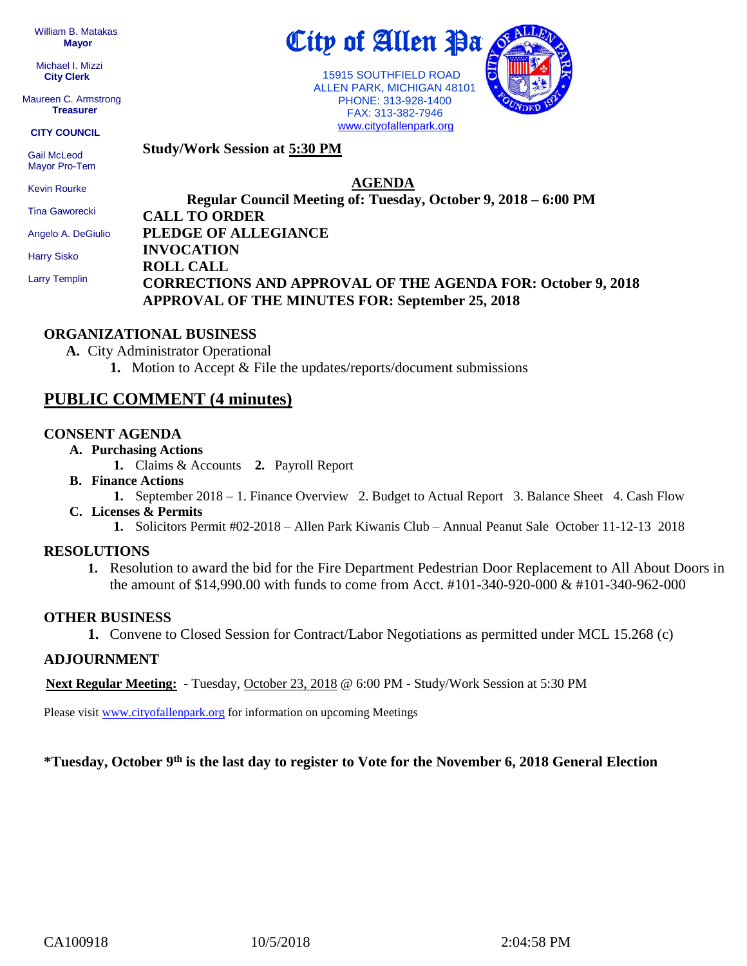William B. Matakas  **Mayor**

 Michael I. Mizzi **City Clerk**

Maureen C. Armstrong **Treasurer**

**CITY COUNCIL**

 Gail McLeod Mayor Pro-Tem **Study/Work Session at 5:30 PM**

Kevin Rourke

Tina Gaworecki

Angelo A. DeGiulio

Harry Sisko

Larry Templin

### **Regular Council Meeting of: Tuesday, October 9, 2018 – 6:00 PM CALL TO ORDER PLEDGE OF ALLEGIANCE INVOCATION ROLL CALL CORRECTIONS AND APPROVAL OF THE AGENDA FOR: October 9, 2018 APPROVAL OF THE MINUTES FOR: September 25, 2018**

**AGENDA**

City of Allen Pa

 15915 SOUTHFIELD ROAD ALLEN PARK, MICHIGAN 48101 PHONE: 313-928-1400 FAX: 313-382-7946 [www.cityofallenpark.org](http://www.cityofallenpark.org/)

### **ORGANIZATIONAL BUSINESS**

**A.** City Administrator Operational

**1.** Motion to Accept & File the updates/reports/document submissions

## **PUBLIC COMMENT (4 minutes)**

### **CONSENT AGENDA**

- **A. Purchasing Actions**
	- **1.** Claims & Accounts **2.** Payroll Report
- **B. Finance Actions**
	- **1.** September 2018 1. Finance Overview 2. Budget to Actual Report 3. Balance Sheet 4. Cash Flow
- **C. Licenses & Permits**
	- **1.** Solicitors Permit #02-2018 Allen Park Kiwanis Club Annual Peanut Sale October 11-12-13 2018

## **RESOLUTIONS**

**1.** Resolution to award the bid for the Fire Department Pedestrian Door Replacement to All About Doors in the amount of \$14,990.00 with funds to come from Acct. #101-340-920-000 & #101-340-962-000

## **OTHER BUSINESS**

**1.** Convene to Closed Session for Contract/Labor Negotiations as permitted under MCL 15.268 (c)

## **ADJOURNMENT**

**Next Regular Meeting: -** Tuesday, October 23, 2018 @ 6:00 PM **-** Study/Work Session at 5:30 PM

Please visit [www.cityofallenpark.org](http://www.cityofallenpark.org/) for information on upcoming Meetings

#### **\*Tuesday, October 9th is the last day to register to Vote for the November 6, 2018 General Election**